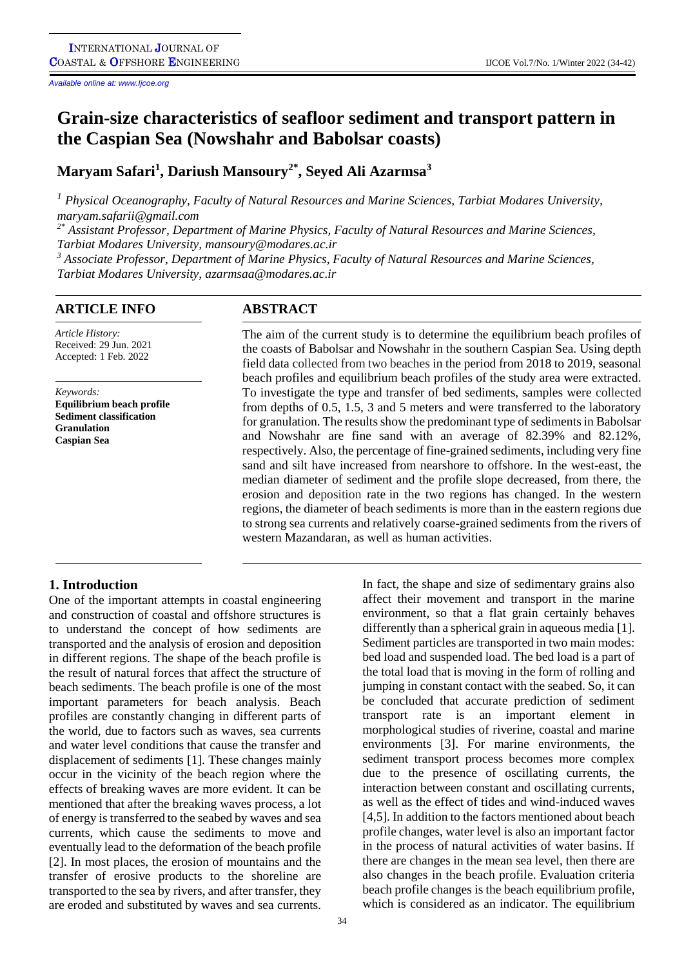*Available online at: www.Ijcoe.org*

# **Grain-size characteristics of seafloor sediment and transport pattern in the Caspian Sea (Nowshahr and Babolsar coasts)**

**Maryam Safari<sup>1</sup> , Dariush Mansoury2\* , Seyed Ali Azarmsa<sup>3</sup>**

*<sup>1</sup> Physical Oceanography, Faculty of Natural Resources and Marine Sciences, Tarbiat Modares University, [maryam.safarii@gmail.com](mailto:maryam.safarii@gmail.com)*

*2\* Assistant Professor, Department of Marine Physics, Faculty of Natural Resources and Marine Sciences, Tarbiat Modares University, [mansoury@modares.ac.ir](mailto:mansoury@modares.ac.ir)*

*<sup>3</sup> Associate Professor, Department of Marine Physics, Faculty of Natural Resources and Marine Sciences, Tarbiat Modares University, [azarmsaa@modares.ac.ir](mailto:azarmsaa@modares.ac.ir)*

# **ARTICLE INFO ABSTRACT**

*Article History:* Received: 29 Jun. 2021 Accepted: 1 Feb. 2022

*Keywords:* **Equilibrium beach profile Sediment classification Granulation Caspian Sea**

The aim of the current study is to determine the equilibrium beach profiles of the coasts of Babolsar and Nowshahr in the southern Caspian Sea. Using depth field data collected from two beaches in the period from 2018 to 2019, seasonal beach profiles and equilibrium beach profiles of the study area were extracted. To investigate the type and transfer of bed sediments, samples were collected from depths of 0.5, 1.5, 3 and 5 meters and were transferred to the laboratory for granulation. The results show the predominant type of sediments in Babolsar and Nowshahr are fine sand with an average of 82.39% and 82.12%, respectively. Also, the percentage of fine-grained sediments, including very fine sand and silt have increased from nearshore to offshore. In the west-east, the median diameter of sediment and the profile slope decreased, from there, the erosion and deposition rate in the two regions has changed. In the western regions, the diameter of beach sediments is more than in the eastern regions due to strong sea currents and relatively coarse-grained sediments from the rivers of western Mazandaran, as well as human activities.

# **1. Introduction**

One of the important attempts in coastal engineering and construction of coastal and offshore structures is to understand the concept of how sediments are transported and the analysis of erosion and deposition in different regions. The shape of the beach profile is the result of natural forces that affect the structure of beach sediments. The beach profile is one of the most important parameters for beach analysis. Beach profiles are constantly changing in different parts of the world, due to factors such as waves, sea currents and water level conditions that cause the transfer and displacement of sediments [1]. These changes mainly occur in the vicinity of the beach region where the effects of breaking waves are more evident. It can be mentioned that after the breaking waves process, a lot of energy is transferred to the seabed by waves and sea currents, which cause the sediments to move and eventually lead to the deformation of the beach profile [2]. In most places, the erosion of mountains and the transfer of erosive products to the shoreline are transported to the sea by rivers, and after transfer, they are eroded and substituted by waves and sea currents.

affect their movement and transport in the marine environment, so that a flat grain certainly behaves differently than a spherical grain in aqueous media [1]. Sediment particles are transported in two main modes: bed load and suspended load. The bed load is a part of the total load that is moving in the form of rolling and jumping in constant contact with the seabed. So, it can be concluded that accurate prediction of sediment transport rate is an important element in morphological studies of riverine, coastal and marine environments [3]. For marine environments, the sediment transport process becomes more complex due to the presence of oscillating currents, the interaction between constant and oscillating currents, as well as the effect of tides and wind-induced waves [4,5]. In addition to the factors mentioned about beach profile changes, water level is also an important factor in the process of natural activities of water basins. If there are changes in the mean sea level, then there are also changes in the beach profile. Evaluation criteria beach profile changes is the beach equilibrium profile, which is considered as an indicator. The equilibrium

In fact, the shape and size of sedimentary grains also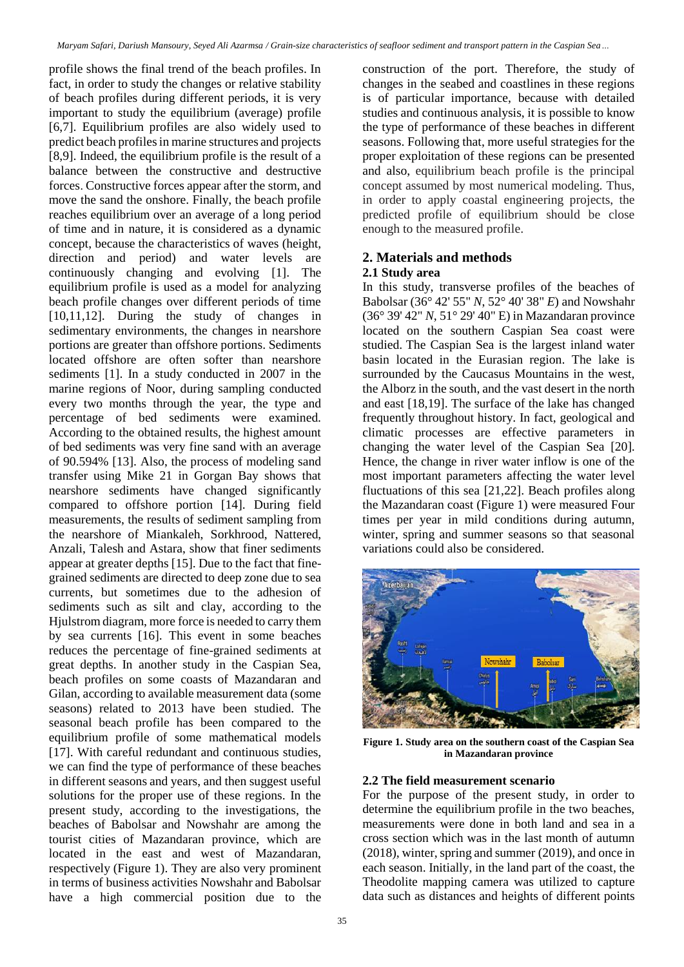profile shows the final trend of the beach profiles. In fact, in order to study the changes or relative stability of beach profiles during different periods, it is very important to study the equilibrium (average) profile [6,7]. Equilibrium profiles are also widely used to predict beach profiles in marine structures and projects [8,9]. Indeed, the equilibrium profile is the result of a balance between the constructive and destructive forces. Constructive forces appear after the storm, and move the sand the onshore. Finally, the beach profile reaches equilibrium over an average of a long period of time and in nature, it is considered as a dynamic concept, because the characteristics of waves (height, direction and period) and water levels are continuously changing and evolving [1]. The equilibrium profile is used as a model for analyzing beach profile changes over different periods of time [10,11,12]. During the study of changes in sedimentary environments, the changes in nearshore portions are greater than offshore portions. Sediments located offshore are often softer than nearshore sediments [1]. In a study conducted in 2007 in the marine regions of Noor, during sampling conducted every two months through the year, the type and percentage of bed sediments were examined. According to the obtained results, the highest amount of bed sediments was very fine sand with an average of 90.594% [13]. Also, the process of modeling sand transfer using Mike 21 in Gorgan Bay shows that nearshore sediments have changed significantly compared to offshore portion [14]. During field measurements, the results of sediment sampling from the nearshore of Miankaleh, Sorkhrood, Nattered, Anzali, Talesh and Astara, show that finer sediments appear at greater depths [15]. Due to the fact that finegrained sediments are directed to deep zone due to sea currents, but sometimes due to the adhesion of sediments such as silt and clay, according to the Hjulstrom diagram, more force is needed to carry them by sea currents [16]. This event in some beaches reduces the percentage of fine-grained sediments at great depths. In another study in the Caspian Sea, beach profiles on some coasts of Mazandaran and Gilan, according to available measurement data (some seasons) related to 2013 have been studied. The seasonal beach profile has been compared to the equilibrium profile of some mathematical models [17]. With careful redundant and continuous studies, we can find the type of performance of these beaches in different seasons and years, and then suggest useful solutions for the proper use of these regions. In the present study, according to the investigations, the beaches of Babolsar and Nowshahr are among the tourist cities of Mazandaran province, which are located in the east and west of Mazandaran, respectively (Figure 1). They are also very prominent in terms of business activities Nowshahr and Babolsar have a high commercial position due to the

construction of the port. Therefore, the study of changes in the seabed and coastlines in these regions is of particular importance, because with detailed studies and continuous analysis, it is possible to know the type of performance of these beaches in different seasons. Following that, more useful strategies for the proper exploitation of these regions can be presented and also, equilibrium beach profile is the principal concept assumed by most numerical modeling. Thus, in order to apply coastal engineering projects, the predicted profile of equilibrium should be close enough to the measured profile.

# **2. Materials and methods 2.1 Study area**

In this study, transverse profiles of the beaches of Babolsar (36° 42' 55" *N*, 52° 40' 38" *E*) and Nowshahr (36° 39' 42" *N*, 51° 29' 40" E) in Mazandaran province located on the southern Caspian Sea coast were studied. The Caspian Sea is the largest inland water basin located in the Eurasian region. The lake is surrounded by the Caucasus Mountains in the west, the Alborz in the south, and the vast desert in the north and east [18,19]. The surface of the lake has changed frequently throughout history. In fact, geological and climatic processes are effective parameters in changing the water level of the Caspian Sea [20]. Hence, the change in river water inflow is one of the most important parameters affecting the water level fluctuations of this sea [21,22]. Beach profiles along the Mazandaran coast (Figure 1) were measured Four times per year in mild conditions during autumn, winter, spring and summer seasons so that seasonal variations could also be considered.



**Figure 1. Study area on the southern coast of the Caspian Sea in Mazandaran province**

# **2.2 The field measurement scenario**

For the purpose of the present study, in order to determine the equilibrium profile in the two beaches, measurements were done in both land and sea in a cross section which was in the last month of autumn (2018), winter, spring and summer (2019), and once in each season. Initially, in the land part of the coast, the Theodolite mapping camera was utilized to capture data such as distances and heights of different points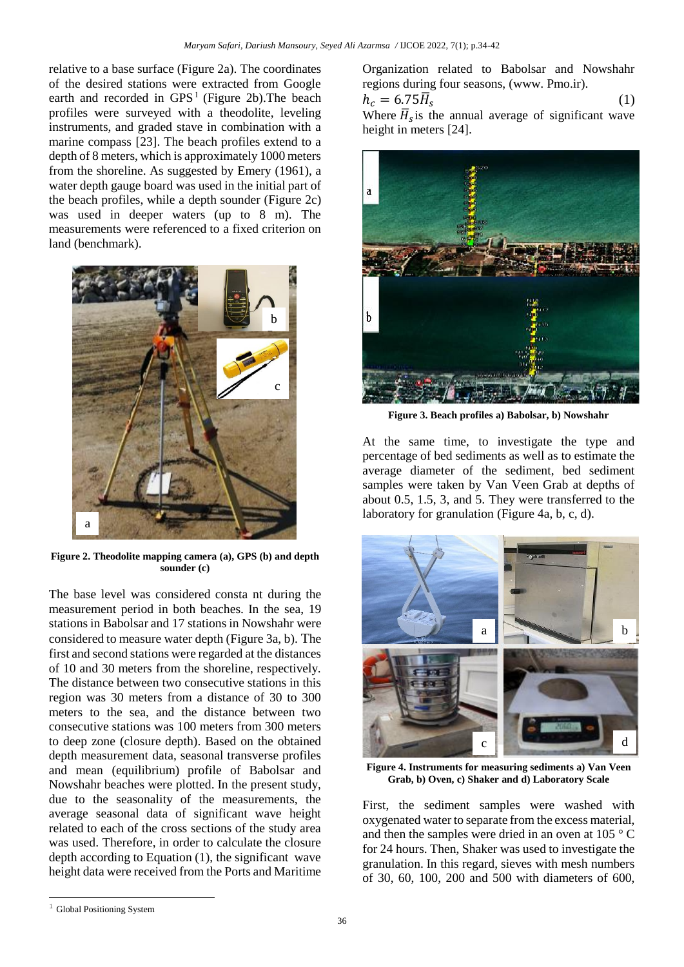relative to a base surface (Figure 2a). The coordinates of the desired stations were extracted from Google earth and recorded in  $GPS<sup>1</sup>$  (Figure 2b). The beach profiles were surveyed with a theodolite, leveling instruments, and graded stave in combination with a marine compass [23]. The beach profiles extend to a depth of 8 meters, which is approximately 1000 meters from the shoreline. As suggested by Emery (1961), a water depth gauge board was used in the initial part of the beach profiles, while a depth sounder (Figure 2c) was used in deeper waters (up to 8 m). The measurements were referenced to a fixed criterion on land (benchmark).



**Figure 2. Theodolite mapping camera (a), GPS (b) and depth sounder (c)**

The base level was considered consta nt during the measurement period in both beaches. In the sea, 19 stations in Babolsar and 17 stations in Nowshahr were considered to measure water depth (Figure 3a, b). The first and second stations were regarded at the distances of 10 and 30 meters from the shoreline, respectively. The distance between two consecutive stations in this region was 30 meters from a distance of 30 to 300 meters to the sea, and the distance between two consecutive stations was 100 meters from 300 meters to deep zone (closure depth). Based on the obtained depth measurement data, seasonal transverse profiles and mean (equilibrium) profile of Babolsar and Nowshahr beaches were plotted. In the present study, due to the seasonality of the measurements, the average seasonal data of significant wave height related to each of the cross sections of the study area was used. Therefore, in order to calculate the closure depth according to Equation (1), the significant wave height data were received from the Ports and Maritime Organization related to Babolsar and Nowshahr regions during four seasons, [\(www.](https://www/) Pmo.ir).

$$
h_c = 6.75 \overline{H}_s
$$
 (1)  
When  $\overline{H}$  is the annual average of significant wave

Where  $\overline{H}_{s}$  is the annual average of significant wave height in meters [24].



**Figure 3. Beach profiles a) Babolsar, b) Nowshahr**

At the same time, to investigate the type and percentage of bed sediments as well as to estimate the average diameter of the sediment, bed sediment samples were taken by Van Veen Grab at depths of about 0.5, 1.5, 3, and 5. They were transferred to the laboratory for granulation (Figure 4a, b, c, d).



**Figure 4. Instruments for measuring sediments a) Van Veen Grab, b) Oven, c) Shaker and d) Laboratory Scale**

First, the sediment samples were washed with oxygenated water to separate from the excess material, and then the samples were dried in an oven at 105 ° C for 24 hours. Then, Shaker was used to investigate the granulation. In this regard, sieves with mesh numbers of 30, 60, 100, 200 and 500 with diameters of 600,

l

<sup>&</sup>lt;sup>1</sup> Global Positioning System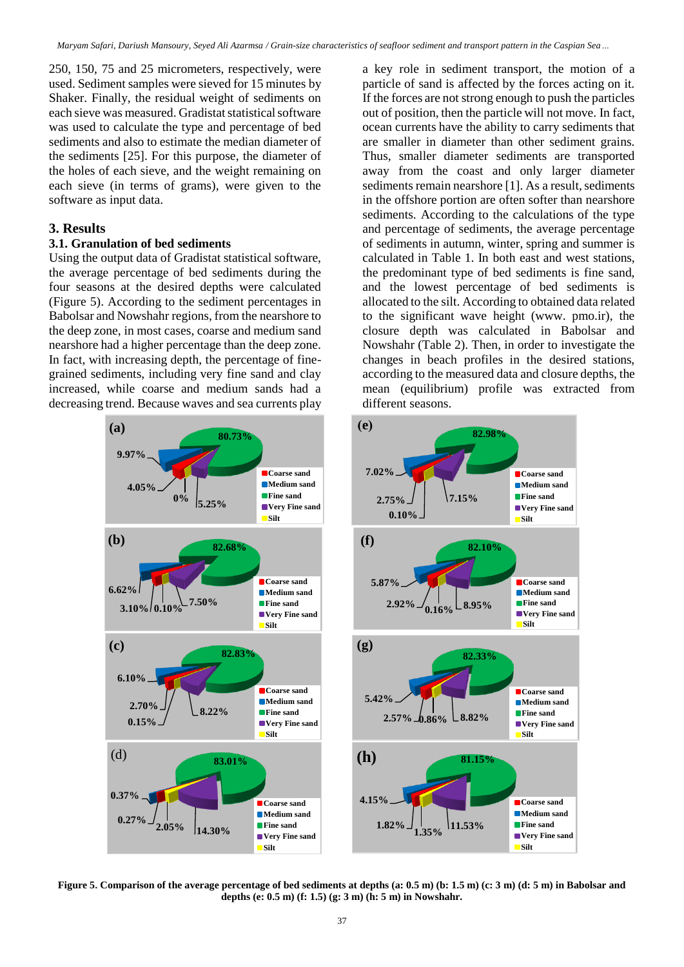250, 150, 75 and 25 micrometers, respectively, were used. Sediment samples were sieved for 15 minutes by Shaker. Finally, the residual weight of sediments on each sieve was measured. Gradistat statistical software was used to calculate the type and percentage of bed sediments and also to estimate the median diameter of the sediments [25]. For this purpose, the diameter of the holes of each sieve, and the weight remaining on each sieve (in terms of grams), were given to the software as input data.

### **3. Results**

#### **3.1. Granulation of bed sediments**

Using the output data of Gradistat statistical software, the average percentage of bed sediments during the four seasons at the desired depths were calculated (Figure 5). According to the sediment percentages in Babolsar and Nowshahr regions, from the nearshore to the deep zone, in most cases, coarse and medium sand nearshore had a higher percentage than the deep zone. In fact, with increasing depth, the percentage of finegrained sediments, including very fine sand and clay increased, while coarse and medium sands had a decreasing trend. Because waves and sea currents play



a key role in sediment transport, the motion of a particle of sand is affected by the forces acting on it. If the forces are not strong enough to push the particles out of position, then the particle will not move. In fact, ocean currents have the ability to carry sediments that are smaller in diameter than other sediment grains. Thus, smaller diameter sediments are transported away from the coast and only larger diameter sediments remain nearshore [1]. As a result, sediments in the offshore portion are often softer than nearshore sediments. According to the calculations of the type and percentage of sediments, the average percentage of sediments in autumn, winter, spring and summer is calculated in Table 1. In both east and west stations, the predominant type of bed sediments is fine sand, and the lowest percentage of bed sediments is allocated to the silt. According to obtained data related to the significant wave height (www. pmo.ir), the closure depth was calculated in Babolsar and Nowshahr (Table 2). Then, in order to investigate the changes in beach profiles in the desired stations, according to the measured data and closure depths, the mean (equilibrium) profile was extracted from different seasons.



**Figure 5. Comparison of the average percentage of bed sediments at depths (a: 0.5 m) (b: 1.5 m) (c: 3 m) (d: 5 m) in Babolsar and depths (e: 0.5 m) (f: 1.5) (g: 3 m) (h: 5 m) in Nowshahr.**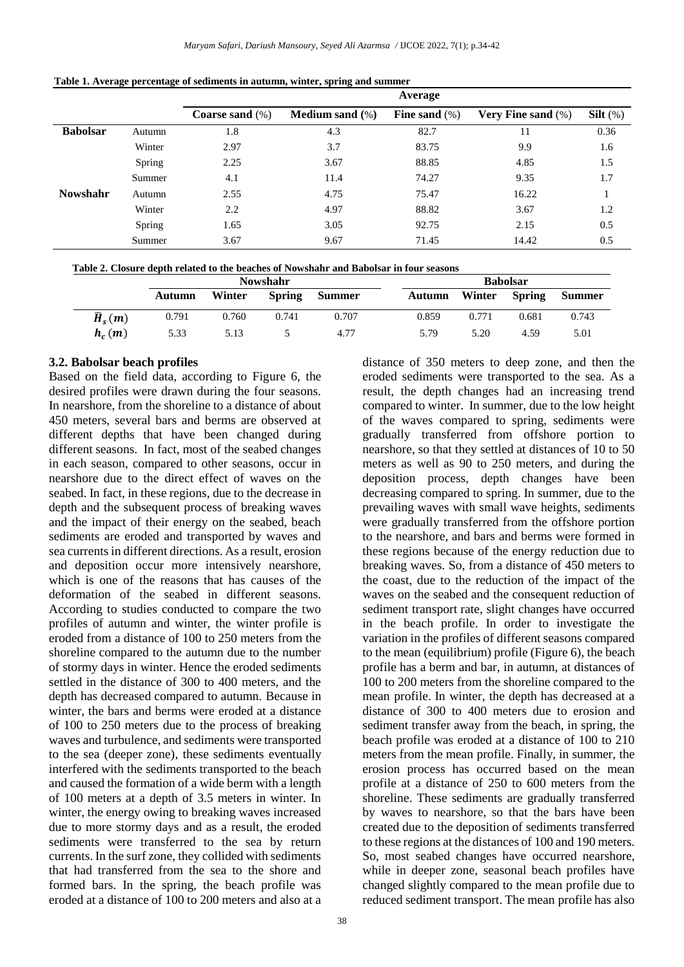|                 |        | Average            |                           |                  |                       |             |  |  |  |  |
|-----------------|--------|--------------------|---------------------------|------------------|-----------------------|-------------|--|--|--|--|
|                 |        | Coarse sand $(\%)$ | <b>Medium sand</b> $(\%)$ | Fine sand $(\%)$ | Very Fine sand $(\%)$ | Silt $(\%)$ |  |  |  |  |
| <b>Babolsar</b> | Autumn | 1.8                | 4.3                       | 82.7             | 11                    | 0.36        |  |  |  |  |
|                 | Winter | 2.97               | 3.7                       | 83.75            | 9.9                   | 1.6         |  |  |  |  |
|                 | Spring | 2.25               | 3.67                      | 88.85            | 4.85                  | 1.5         |  |  |  |  |
|                 | Summer | 4.1                | 11.4                      | 74.27            | 9.35                  | 1.7         |  |  |  |  |
| <b>Nowshahr</b> | Autumn | 2.55               | 4.75                      | 75.47            | 16.22                 |             |  |  |  |  |
|                 | Winter | 2.2                | 4.97                      | 88.82            | 3.67                  | 1.2         |  |  |  |  |
|                 | Spring | 1.65               | 3.05                      | 92.75            | 2.15                  | 0.5         |  |  |  |  |
|                 | Summer | 3.67               | 9.67                      | 71.45            | 14.42                 | 0.5         |  |  |  |  |

 **Table 1. Average percentage of sediments in autumn, winter, spring and summer**

| Table 2. Closure depth related to the beaches of Nowshahr and Babolsar in four seasons |
|----------------------------------------------------------------------------------------|
|----------------------------------------------------------------------------------------|

|                       | <b>Nowshahr</b> |        |               |               | <b>Babolsar</b> |        |               |               |
|-----------------------|-----------------|--------|---------------|---------------|-----------------|--------|---------------|---------------|
|                       | Autumn          | Winter | <b>Spring</b> | <b>Summer</b> | Autumn          | Winter | <b>Spring</b> | <b>Summer</b> |
| $\overline{H}_{s}(m)$ | 0.791           | 0.760  | 0.741         | 0.707         | 0.859           | 0.771  | 0.681         | 0.743         |
| $h_c(m)$              | 5.33            | 5.13   |               | 4.77          | 5.79            | 5.20   | 4.59          | 5.01          |

#### **3.2. Babolsar beach profiles**

Based on the field data, according to Figure 6, the desired profiles were drawn during the four seasons. In nearshore, from the shoreline to a distance of about 450 meters, several bars and berms are observed at different depths that have been changed during different seasons. In fact, most of the seabed changes in each season, compared to other seasons, occur in nearshore due to the direct effect of waves on the seabed. In fact, in these regions, due to the decrease in depth and the subsequent process of breaking waves and the impact of their energy on the seabed, beach sediments are eroded and transported by waves and sea currents in different directions. As a result, erosion and deposition occur more intensively nearshore, which is one of the reasons that has causes of the deformation of the seabed in different seasons. According to studies conducted to compare the two profiles of autumn and winter, the winter profile is eroded from a distance of 100 to 250 meters from the shoreline compared to the autumn due to the number of stormy days in winter. Hence the eroded sediments settled in the distance of 300 to 400 meters, and the depth has decreased compared to autumn. Because in winter, the bars and berms were eroded at a distance of 100 to 250 meters due to the process of breaking waves and turbulence, and sediments were transported to the sea (deeper zone), these sediments eventually interfered with the sediments transported to the beach and caused the formation of a wide berm with a length of 100 meters at a depth of 3.5 meters in winter. In winter, the energy owing to breaking waves increased due to more stormy days and as a result, the eroded sediments were transferred to the sea by return currents. In the surf zone, they collided with sediments that had transferred from the sea to the shore and formed bars. In the spring, the beach profile was eroded at a distance of 100 to 200 meters and also at a

eroded sediments were transported to the sea. As a result, the depth changes had an increasing trend compared to winter. In summer, due to the low height of the waves compared to spring, sediments were gradually transferred from offshore portion to nearshore, so that they settled at distances of 10 to 50 meters as well as 90 to 250 meters, and during the deposition process, depth changes have been decreasing compared to spring. In summer, due to the prevailing waves with small wave heights, sediments were gradually transferred from the offshore portion to the nearshore, and bars and berms were formed in these regions because of the energy reduction due to breaking waves. So, from a distance of 450 meters to the coast, due to the reduction of the impact of the waves on the seabed and the consequent reduction of sediment transport rate, slight changes have occurred in the beach profile. In order to investigate the variation in the profiles of different seasons compared to the mean (equilibrium) profile (Figure 6), the beach profile has a berm and bar, in autumn, at distances of 100 to 200 meters from the shoreline compared to the mean profile. In winter, the depth has decreased at a distance of 300 to 400 meters due to erosion and sediment transfer away from the beach, in spring, the beach profile was eroded at a distance of 100 to 210 meters from the mean profile. Finally, in summer, the erosion process has occurred based on the mean profile at a distance of 250 to 600 meters from the shoreline. These sediments are gradually transferred by waves to nearshore, so that the bars have been created due to the deposition of sediments transferred to these regions at the distances of 100 and 190 meters. So, most seabed changes have occurred nearshore, while in deeper zone, seasonal beach profiles have changed slightly compared to the mean profile due to reduced sediment transport. The mean profile has also

distance of 350 meters to deep zone, and then the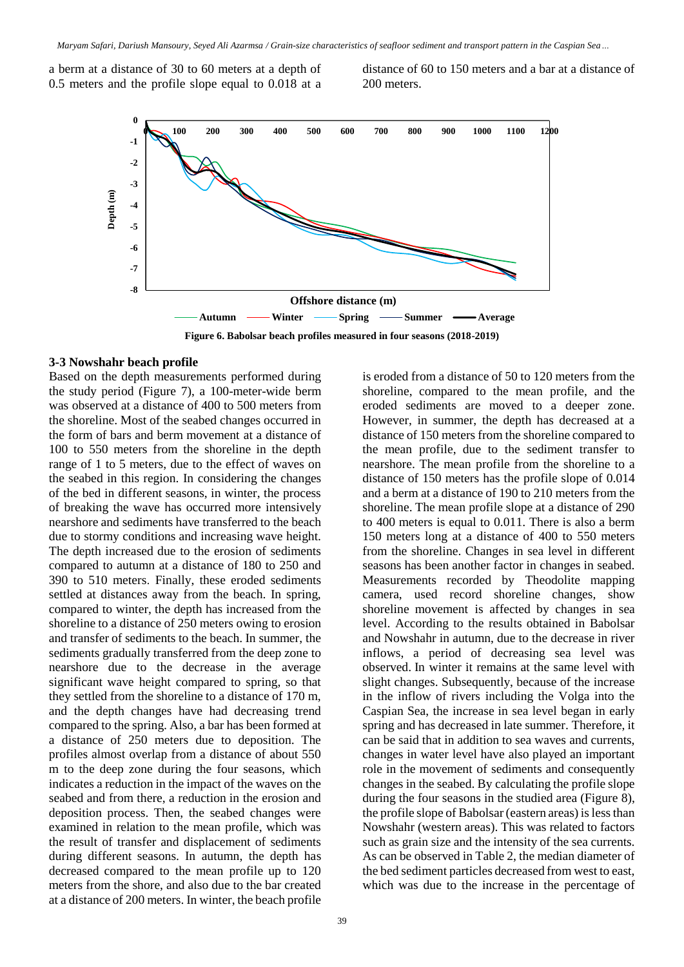a berm at a distance of 30 to 60 meters at a depth of 0.5 meters and the profile slope equal to 0.018 at a distance of 60 to 150 meters and a bar at a distance of 200 meters.



#### **3-3 Nowshahr beach profile**

Based on the depth measurements performed during the study period (Figure 7), a 100-meter-wide berm was observed at a distance of 400 to 500 meters from the shoreline. Most of the seabed changes occurred in the form of bars and berm movement at a distance of 100 to 550 meters from the shoreline in the depth range of 1 to 5 meters, due to the effect of waves on the seabed in this region. In considering the changes of the bed in different seasons, in winter, the process of breaking the wave has occurred more intensively nearshore and sediments have transferred to the beach due to stormy conditions and increasing wave height. The depth increased due to the erosion of sediments compared to autumn at a distance of 180 to 250 and 390 to 510 meters. Finally, these eroded sediments settled at distances away from the beach. In spring, compared to winter, the depth has increased from the shoreline to a distance of 250 meters owing to erosion and transfer of sediments to the beach. In summer, the sediments gradually transferred from the deep zone to nearshore due to the decrease in the average significant wave height compared to spring, so that they settled from the shoreline to a distance of 170 m, and the depth changes have had decreasing trend compared to the spring. Also, a bar has been formed at a distance of 250 meters due to deposition. The profiles almost overlap from a distance of about 550 m to the deep zone during the four seasons, which indicates a reduction in the impact of the waves on the seabed and from there, a reduction in the erosion and deposition process. Then, the seabed changes were examined in relation to the mean profile, which was the result of transfer and displacement of sediments during different seasons. In autumn, the depth has decreased compared to the mean profile up to 120 meters from the shore, and also due to the bar created at a distance of 200 meters. In winter, the beach profile

is eroded from a distance of 50 to 120 meters from the shoreline, compared to the mean profile, and the eroded sediments are moved to a deeper zone. However, in summer, the depth has decreased at a distance of 150 meters from the shoreline compared to the mean profile, due to the sediment transfer to nearshore. The mean profile from the shoreline to a distance of 150 meters has the profile slope of 0.014 and a berm at a distance of 190 to 210 meters from the shoreline. The mean profile slope at a distance of 290 to 400 meters is equal to 0.011. There is also a berm 150 meters long at a distance of 400 to 550 meters from the shoreline. Changes in sea level in different seasons has been another factor in changes in seabed. Measurements recorded by Theodolite mapping camera, used record shoreline changes, show shoreline movement is affected by changes in sea level. According to the results obtained in Babolsar and Nowshahr in autumn, due to the decrease in river inflows, a period of decreasing sea level was observed. In winter it remains at the same level with slight changes. Subsequently, because of the increase in the inflow of rivers including the Volga into the Caspian Sea, the increase in sea level began in early spring and has decreased in late summer. Therefore, it can be said that in addition to sea waves and currents, changes in water level have also played an important role in the movement of sediments and consequently changes in the seabed. By calculating the profile slope during the four seasons in the studied area (Figure 8), the profile slope of Babolsar (eastern areas) is less than Nowshahr (western areas). This was related to factors such as grain size and the intensity of the sea currents. As can be observed in Table 2, the median diameter of the bed sediment particles decreased from west to east, which was due to the increase in the percentage of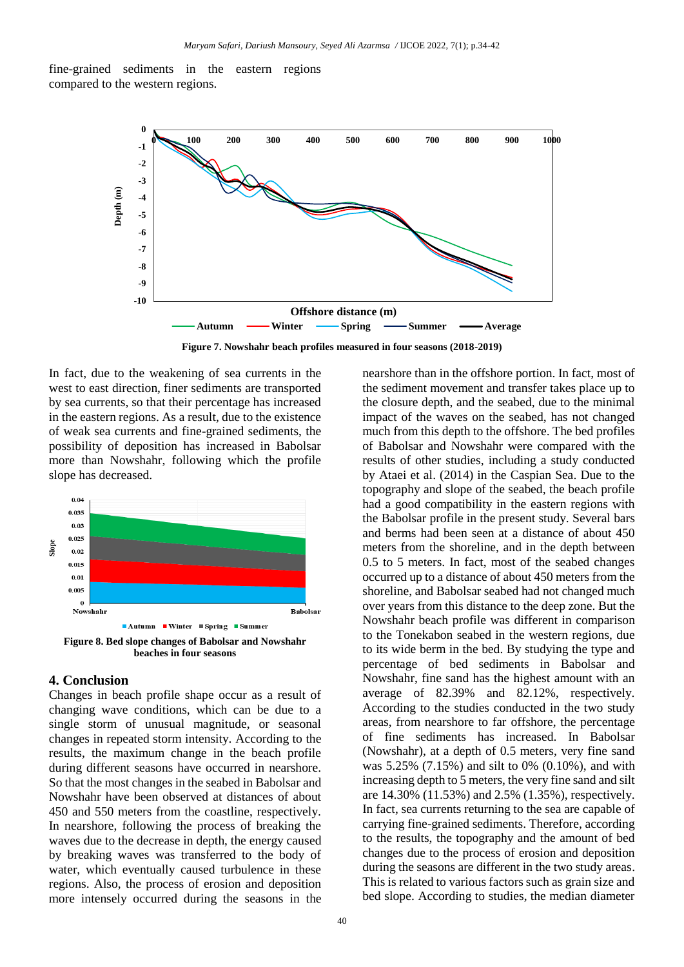fine-grained sediments in the eastern regions compared to the western regions.



**Figure 7. Nowshahr beach profiles measured in four seasons (2018-2019)**

In fact, due to the weakening of sea currents in the west to east direction, finer sediments are transported by sea currents, so that their percentage has increased in the eastern regions. As a result, due to the existence of weak sea currents and fine-grained sediments, the possibility of deposition has increased in Babolsar more than Nowshahr, following which the profile slope has decreased.



#### **4. Conclusion**

Changes in beach profile shape occur as a result of changing wave conditions, which can be due to a single storm of unusual magnitude, or seasonal changes in repeated storm intensity. According to the results, the maximum change in the beach profile during different seasons have occurred in nearshore. So that the most changes in the seabed in Babolsar and Nowshahr have been observed at distances of about 450 and 550 meters from the coastline, respectively. In nearshore, following the process of breaking the waves due to the decrease in depth, the energy caused by breaking waves was transferred to the body of water, which eventually caused turbulence in these regions. Also, the process of erosion and deposition more intensely occurred during the seasons in the

the closure depth, and the seabed, due to the minimal impact of the waves on the seabed, has not changed much from this depth to the offshore. The bed profiles of Babolsar and Nowshahr were compared with the results of other studies, including a study conducted by Ataei et al. (2014) in the Caspian Sea. Due to the topography and slope of the seabed, the beach profile had a good compatibility in the eastern regions with the Babolsar profile in the present study. Several bars and berms had been seen at a distance of about 450 meters from the shoreline, and in the depth between 0.5 to 5 meters. In fact, most of the seabed changes occurred up to a distance of about 450 meters from the shoreline, and Babolsar seabed had not changed much over years from this distance to the deep zone. But the Nowshahr beach profile was different in comparison to the Tonekabon seabed in the western regions, due to its wide berm in the bed. By studying the type and percentage of bed sediments in Babolsar and Nowshahr, fine sand has the highest amount with an average of 82.39% and 82.12%, respectively. According to the studies conducted in the two study areas, from nearshore to far offshore, the percentage of fine sediments has increased. In Babolsar (Nowshahr), at a depth of 0.5 meters, very fine sand was 5.25% (7.15%) and silt to 0% (0.10%), and with increasing depth to 5 meters, the very fine sand and silt are 14.30% (11.53%) and 2.5% (1.35%), respectively. In fact, sea currents returning to the sea are capable of carrying fine-grained sediments. Therefore, according to the results, the topography and the amount of bed changes due to the process of erosion and deposition during the seasons are different in the two study areas. This is related to various factors such as grain size and bed slope. According to studies, the median diameter

nearshore than in the offshore portion. In fact, most of the sediment movement and transfer takes place up to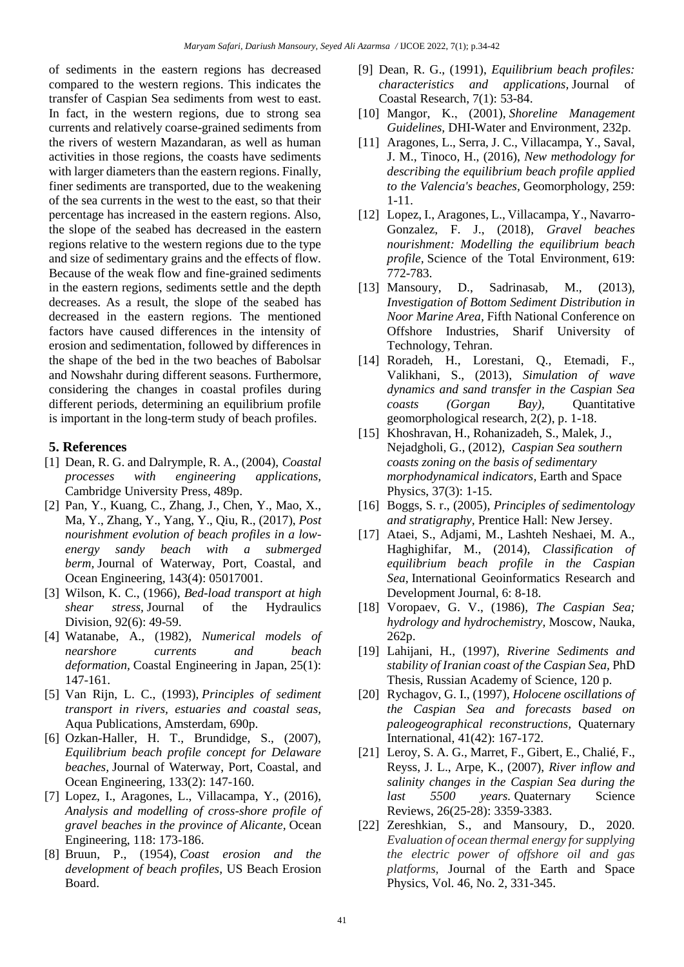of sediments in the eastern regions has decreased compared to the western regions. This indicates the transfer of Caspian Sea sediments from west to east. In fact, in the western regions, due to strong sea currents and relatively coarse-grained sediments from the rivers of western Mazandaran, as well as human activities in those regions, the coasts have sediments with larger diameters than the eastern regions. Finally, finer sediments are transported, due to the weakening of the sea currents in the west to the east, so that their percentage has increased in the eastern regions. Also, the slope of the seabed has decreased in the eastern regions relative to the western regions due to the type and size of sedimentary grains and the effects of flow. Because of the weak flow and fine-grained sediments in the eastern regions, sediments settle and the depth decreases. As a result, the slope of the seabed has decreased in the eastern regions. The mentioned factors have caused differences in the intensity of erosion and sedimentation, followed by differences in the shape of the bed in the two beaches of Babolsar and Nowshahr during different seasons. Furthermore, considering the changes in coastal profiles during different periods, determining an equilibrium profile is important in the long-term study of beach profiles.

### **5. References**

- [1] Dean, R. G. and Dalrymple, R. A., (2004), *Coastal processes with engineering applications,* Cambridge University Press, 489p.
- [2] Pan, Y., Kuang, C., Zhang, J., Chen, Y., Mao, X., Ma, Y., Zhang, Y., Yang, Y., Qiu, R., (2017), *Post nourishment evolution of beach profiles in a lowenergy sandy beach with a submerged berm,* Journal of Waterway, Port, Coastal, and Ocean Engineering, 143(4): 05017001.
- [3] Wilson, K. C., (1966), *Bed-load transport at high shear stress,* Journal of the Hydraulics Division, 92(6): 49-59.
- [4] Watanabe, A., (1982), *Numerical models of nearshore currents and beach deformation,* Coastal Engineering in Japan, 25(1): 147-161.
- [5] Van Rijn, L. C., (1993), *Principles of sediment transport in rivers, estuaries and coastal seas,* Aqua Publications, Amsterdam, 690p.
- [6] Ozkan-Haller, H. T., Brundidge, S., (2007), *Equilibrium beach profile concept for Delaware beaches,* Journal of Waterway, Port, Coastal, and Ocean Engineering, 133(2): 147-160.
- [7] Lopez, I., Aragones, L., Villacampa, Y., (2016), *Analysis and modelling of cross-shore profile of gravel beaches in the province of Alicante,* Ocean Engineering, 118: 173-186.
- [8] Bruun, P., (1954), *Coast erosion and the development of beach profiles,* US Beach Erosion Board.
- [9] Dean, R. G., (1991), *Equilibrium beach profiles: characteristics and applications,* Journal of Coastal Research, 7(1): 53-84.
- [10] Mangor, K., (2001), *Shoreline Management Guidelines,* DHI-Water and Environment, 232p.
- [11] Aragones, L., Serra, J. C., Villacampa, Y., Saval, J. M., Tinoco, H., (2016), *New methodology for describing the equilibrium beach profile applied to the Valencia's beaches,* Geomorphology, 259: 1-11.
- [12] Lopez, I., Aragones, L., Villacampa, Y., Navarro-Gonzalez, F. J., (2018), *Gravel beaches nourishment: Modelling the equilibrium beach profile,* Science of the Total Environment, 619: 772-783.
- [13] Mansoury, D., Sadrinasab, M., (2013), *Investigation of Bottom Sediment Distribution in Noor Marine Area,* Fifth National Conference on Offshore Industries, Sharif University of Technology, Tehran.
- [14] Roradeh, H., Lorestani, Q., Etemadi, F., Valikhani, S., (2013), *Simulation of wave dynamics and sand transfer in the Caspian Sea coasts (Gorgan Bay),* Quantitative geomorphological research, 2(2), p. 1-18.
- [15] Khoshravan, H., Rohanizadeh, S., Malek, J., Nejadgholi, G., (2012), *[Caspian Sea southern](https://jesphys.ut.ac.ir/article_23598.html?lang=en)  [coasts zoning on the basis of sedimentary](https://jesphys.ut.ac.ir/article_23598.html?lang=en)  [morphodynamical indicators,](https://jesphys.ut.ac.ir/article_23598.html?lang=en)* Earth and Space Physics, 37(3): 1-15.
- [16] Boggs, S. r., (2005), *Principles of sedimentology and stratigraphy,* Prentice Hall: New Jersey.
- [17] Ataei, S., Adjami, M., Lashteh Neshaei, M. A., Haghighifar, M., (2014), *Classification of equilibrium beach profile in the Caspian Sea,* International Geoinformatics Research and Development Journal, 6: 8-18.
- [18] Voropaev, G. V., (1986), *The Caspian Sea; hydrology and hydrochemistry,* Moscow, Nauka, 262p.
- [19] Lahijani, H., (1997), *Riverine Sediments and stability of Iranian coast of the Caspian Sea,* PhD Thesis, Russian Academy of Science, 120 p.
- [20] Rychagov, G. I., (1997), *Holocene oscillations of the Caspian Sea and forecasts based on paleogeographical reconstructions,* Quaternary International, 41(42): 167-172.
- [21] Leroy, S. A. G., Marret, F., Gibert, E., Chalié, F., Reyss, J. L., Arpe, K., (2007), *River inflow and salinity changes in the Caspian Sea during the last 5500 years.* Quaternary Science Reviews, 26(25-28): 3359-3383.
- [22] Zereshkian, S., and Mansoury, D., 2020. *Evaluation of ocean thermal energy for supplying the electric power of offshore oil and gas platforms,* Journal of the Earth and Space Physics, Vol. 46, No. 2, 331-345.